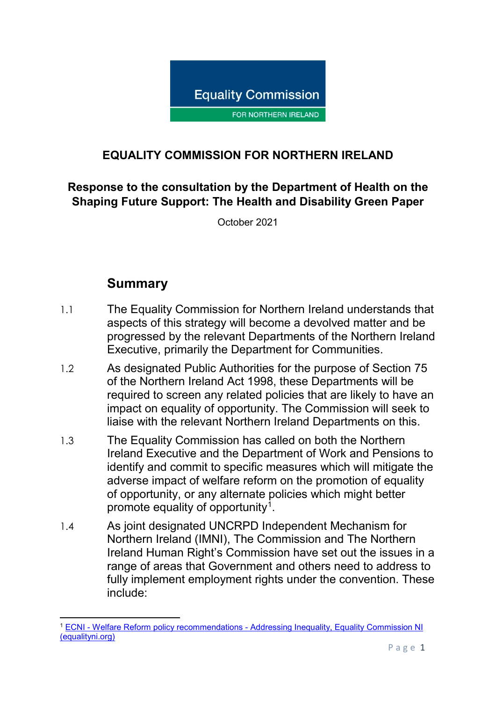

# **EQUALITY COMMISSION FOR NORTHERN IRELAND**

## **Response to the consultation by the Department of Health on the Shaping Future Support: The Health and Disability Green Paper**

October 2021

# **Summary**

- 1.1 The Equality Commission for Northern Ireland understands that aspects of this strategy will become a devolved matter and be progressed by the relevant Departments of the Northern Ireland Executive, primarily the Department for Communities.
- 1.2 As designated Public Authorities for the purpose of Section 75 of the Northern Ireland Act 1998, these Departments will be required to screen any related policies that are likely to have an impact on equality of opportunity. The Commission will seek to liaise with the relevant Northern Ireland Departments on this.
- 1.3 The Equality Commission has called on both the Northern Ireland Executive and the Department of Work and Pensions to identify and commit to specific measures which will mitigate the adverse impact of welfare reform on the promotion of equality of opportunity, or any alternate policies which might better promote equality of opportunity[1](#page-0-0).
- 1.4 As joint designated UNCRPD Independent Mechanism for Northern Ireland (IMNI), The Commission and The Northern Ireland Human Right's Commission have set out the issues in a range of areas that Government and others need to address to fully implement employment rights under the convention. These include:

<span id="page-0-0"></span>**<sup>.</sup>** <sup>1</sup> ECNI - Welfare Reform policy recommendations - [Addressing Inequality, Equality Commission NI](https://www.equalityni.org/WelfareReformPolicy)  [\(equalityni.org\)](https://www.equalityni.org/WelfareReformPolicy)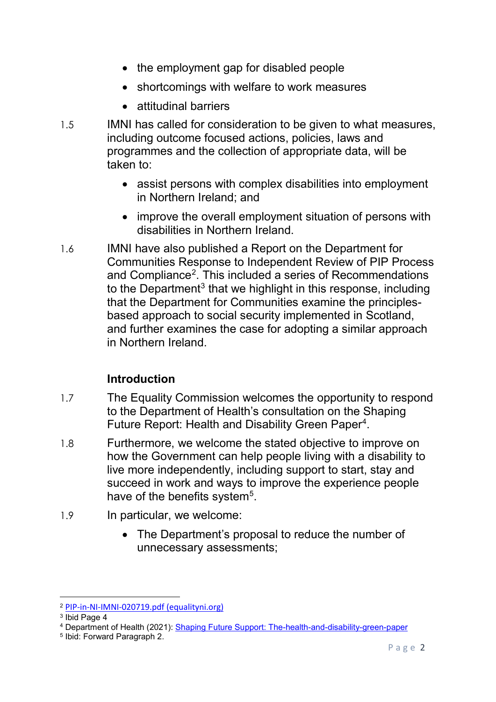- the employment gap for disabled people
- shortcomings with welfare to work measures
- attitudinal barriers
- 1.5 IMNI has called for consideration to be given to what measures, including outcome focused actions, policies, laws and programmes and the collection of appropriate data, will be taken to:
	- assist persons with complex disabilities into employment in Northern Ireland; and
	- improve the overall employment situation of persons with disabilities in Northern Ireland.
- 1.6 IMNI have also published a Report on the Department for Communities Response to Independent Review of PIP Process and Compliance<sup>[2](#page-1-0)</sup>. This included a series of Recommendations to the Department<sup>[3](#page-1-1)</sup> that we highlight in this response, including that the Department for Communities examine the principlesbased approach to social security implemented in Scotland, and further examines the case for adopting a similar approach in Northern Ireland.

#### **Introduction**

- 1.7 The Equality Commission welcomes the opportunity to respond to the Department of Health's consultation on the Shaping Future Report: Health and Disability Green Paper<sup>[4](#page-1-2)</sup>.
- 1.8 Furthermore, we welcome the stated objective to improve on how the Government can help people living with a disability to live more independently, including support to start, stay and succeed in work and ways to improve the experience people have of the benefits system<sup>5</sup>.
- 1.9 In particular, we welcome:
	- The Department's proposal to reduce the number of unnecessary assessments;

 $\overline{a}$ 

<span id="page-1-0"></span><sup>2</sup> [PIP-in-NI-IMNI-020719.pdf \(equalityni.org\)](https://www.equalityni.org/ECNI/media/ECNI/Consultation%20Responses/2019/PIP-in-NI-IMNI-020719.pdf)

<span id="page-1-1"></span><sup>3</sup> Ibid Page 4

<span id="page-1-2"></span><sup>4</sup> Department of Health (2021): [Shaping Future Support: The-health-and-disability-green-paper](https://www.gov.uk/government/consultations/shaping-future-support-the-health-and-disability-green-paper/shaping-future-support-the-health-and-disability-green-paper)

<span id="page-1-3"></span><sup>5</sup> Ibid: Forward Paragraph 2.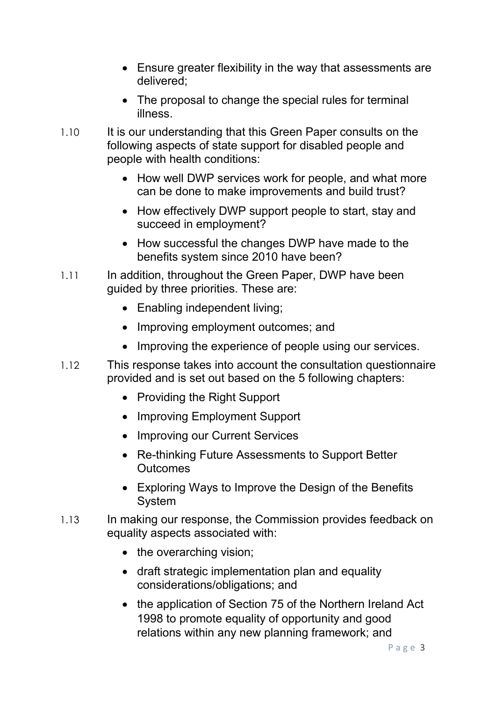- Ensure greater flexibility in the way that assessments are delivered;
- The proposal to change the special rules for terminal illness.
- 1.10 It is our understanding that this Green Paper consults on the following aspects of state support for disabled people and people with health conditions:
	- How well DWP services work for people, and what more can be done to make improvements and build trust?
	- How effectively DWP support people to start, stay and succeed in employment?
	- How successful the changes DWP have made to the benefits system since 2010 have been?
- 1.11 In addition, throughout the Green Paper, DWP have been guided by three priorities. These are:
	- Enabling independent living;
	- Improving employment outcomes; and
	- Improving the experience of people using our services.
- 1.12 This response takes into account the consultation questionnaire provided and is set out based on the 5 following chapters:
	- Providing the Right Support
	- Improving Employment Support
	- Improving our Current Services
	- Re-thinking Future Assessments to Support Better **Outcomes**
	- Exploring Ways to Improve the Design of the Benefits System
- 1.13 In making our response, the Commission provides feedback on equality aspects associated with:
	- the overarching vision;
	- draft strategic implementation plan and equality considerations/obligations; and
	- the application of Section 75 of the Northern Ireland Act 1998 to promote equality of opportunity and good relations within any new planning framework; and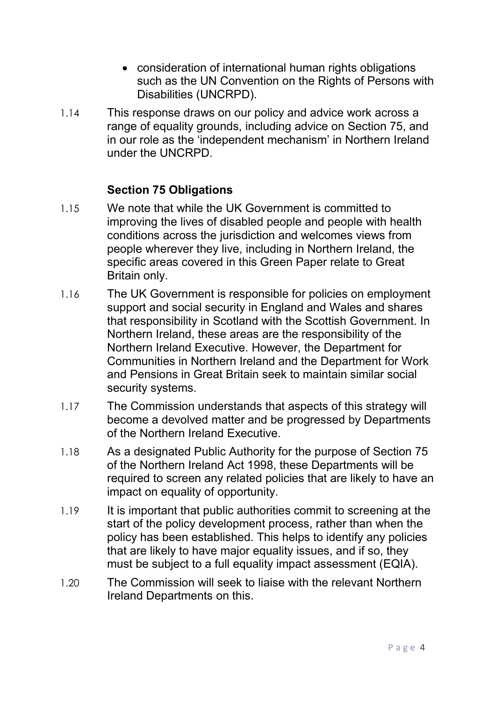- consideration of international human rights obligations such as the UN Convention on the Rights of Persons with Disabilities (UNCRPD).
- 1.14 This response draws on our policy and advice work across a range of equality grounds, including advice on Section 75, and in our role as the 'independent mechanism' in Northern Ireland under the UNCRPD.

#### **Section 75 Obligations**

- 1.15 We note that while the UK Government is committed to improving the lives of disabled people and people with health conditions across the jurisdiction and welcomes views from people wherever they live, including in Northern Ireland, the specific areas covered in this Green Paper relate to Great Britain only.
- 1.16 The UK Government is responsible for policies on employment support and social security in England and Wales and shares that responsibility in Scotland with the Scottish Government. In Northern Ireland, these areas are the responsibility of the Northern Ireland Executive. However, the Department for Communities in Northern Ireland and the Department for Work and Pensions in Great Britain seek to maintain similar social security systems.
- 1.17 The Commission understands that aspects of this strategy will become a devolved matter and be progressed by Departments of the Northern Ireland Executive.
- 1.18 As a designated Public Authority for the purpose of Section 75 of the Northern Ireland Act 1998, these Departments will be required to screen any related policies that are likely to have an impact on equality of opportunity.
- 1.19 It is important that public authorities commit to screening at the start of the policy development process, rather than when the policy has been established. This helps to identify any policies that are likely to have major equality issues, and if so, they must be subject to a full equality impact assessment (EQIA).
- 1.20 The Commission will seek to liaise with the relevant Northern Ireland Departments on this.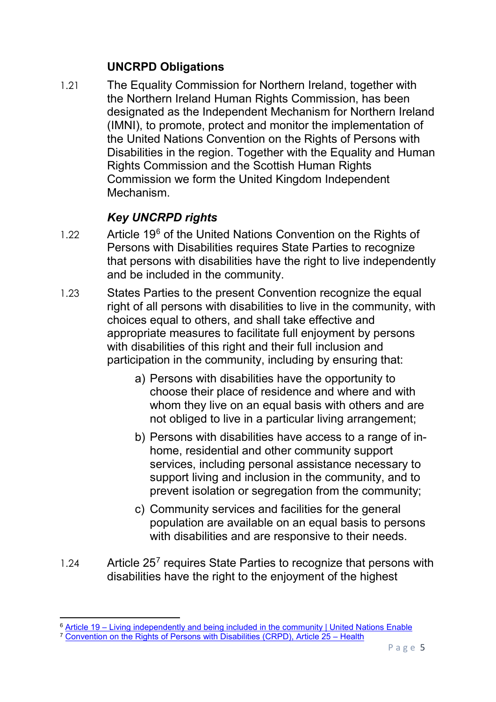#### **UNCRPD Obligations**

1.21 The Equality Commission for Northern Ireland, together with the Northern Ireland Human Rights Commission, has been designated as the Independent Mechanism for Northern Ireland (IMNI), to promote, protect and monitor the implementation of the United Nations Convention on the Rights of Persons with Disabilities in the region. Together with the Equality and Human Rights Commission and the Scottish Human Rights Commission we form the United Kingdom Independent Mechanism.

# *Key UNCRPD rights*

- $1.22$  Article 19<sup>[6](#page-4-0)</sup> of the United Nations Convention on the Rights of Persons with Disabilities requires State Parties to recognize that persons with disabilities have the right to live independently and be included in the community.
- 1.23 States Parties to the present Convention recognize the equal right of all persons with disabilities to live in the community, with choices equal to others, and shall take effective and appropriate measures to facilitate full enjoyment by persons with disabilities of this right and their full inclusion and participation in the community, including by ensuring that:
	- a) Persons with disabilities have the opportunity to choose their place of residence and where and with whom they live on an equal basis with others and are not obliged to live in a particular living arrangement;
	- b) Persons with disabilities have access to a range of inhome, residential and other community support services, including personal assistance necessary to support living and inclusion in the community, and to prevent isolation or segregation from the community;
	- c) Community services and facilities for the general population are available on an equal basis to persons with disabilities and are responsive to their needs.
- $1.24$  Article 25<sup>[7](#page-4-1)</sup> requires State Parties to recognize that persons with disabilities have the right to the enjoyment of the highest

**<sup>.</sup>** 6 Article 19 – [Living independently and being included in the community | United Nations Enable](https://www.un.org/development/desa/disabilities/convention-on-the-rights-of-persons-with-disabilities/article-19-living-independently-and-being-included-in-the-community.html)

<span id="page-4-1"></span><span id="page-4-0"></span><sup>7</sup> [Convention on the Rights of Persons with Disabilities \(CRPD\), Article 25 –](https://www.un.org/development/desa/disabilities/convention-on-the-rights-of-persons-with-disabilities/article-25-health.html) Health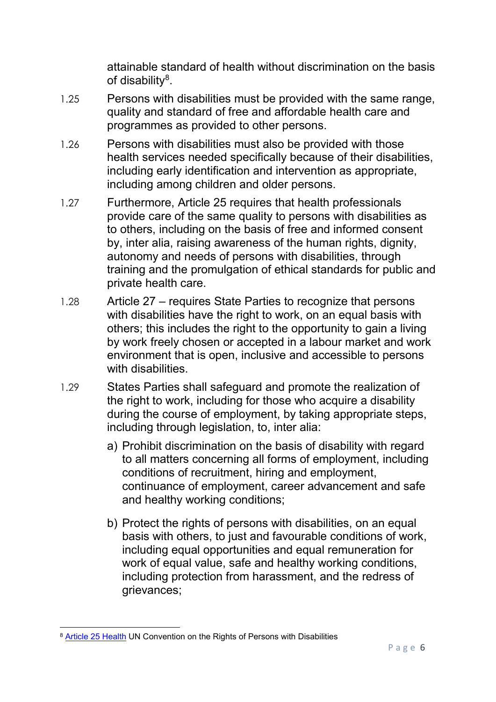attainable standard of health without discrimination on the basis of disability<sup>8</sup>.

- 1.25 Persons with disabilities must be provided with the same range, quality and standard of free and affordable health care and programmes as provided to other persons.
- 1.26 Persons with disabilities must also be provided with those health services needed specifically because of their disabilities, including early identification and intervention as appropriate, including among children and older persons.
- 1.27 Furthermore, Article 25 requires that health professionals provide care of the same quality to persons with disabilities as to others, including on the basis of free and informed consent by, inter alia, raising awareness of the human rights, dignity, autonomy and needs of persons with disabilities, through training and the promulgation of ethical standards for public and private health care.
- 1.28 Article 27 requires State Parties to recognize that persons with disabilities have the right to work, on an equal basis with others; this includes the right to the opportunity to gain a living by work freely chosen or accepted in a labour market and work environment that is open, inclusive and accessible to persons with disabilities.
- 1.29 States Parties shall safeguard and promote the realization of the right to work, including for those who acquire a disability during the course of employment, by taking appropriate steps, including through legislation, to, inter alia:
	- a) Prohibit discrimination on the basis of disability with regard to all matters concerning all forms of employment, including conditions of recruitment, hiring and employment, continuance of employment, career advancement and safe and healthy working conditions;
	- b) Protect the rights of persons with disabilities, on an equal basis with others, to just and favourable conditions of work, including equal opportunities and equal remuneration for work of equal value, safe and healthy working conditions, including protection from harassment, and the redress of grievances;

<span id="page-5-0"></span>**<sup>.</sup>** <sup>8</sup> [Article 25 Health](https://www.un.org/development/desa/disabilities/convention-on-the-rights-of-persons-with-disabilities/article-25-health.html) UN Convention on the Rights of Persons with Disabilities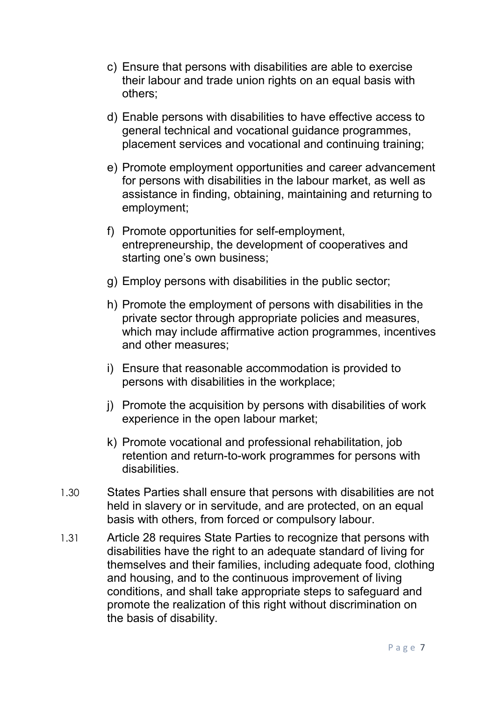- c) Ensure that persons with disabilities are able to exercise their labour and trade union rights on an equal basis with others;
- d) Enable persons with disabilities to have effective access to general technical and vocational guidance programmes, placement services and vocational and continuing training;
- e) Promote employment opportunities and career advancement for persons with disabilities in the labour market, as well as assistance in finding, obtaining, maintaining and returning to employment;
- f) Promote opportunities for self-employment, entrepreneurship, the development of cooperatives and starting one's own business;
- g) Employ persons with disabilities in the public sector;
- h) Promote the employment of persons with disabilities in the private sector through appropriate policies and measures, which may include affirmative action programmes, incentives and other measures;
- i) Ensure that reasonable accommodation is provided to persons with disabilities in the workplace;
- j) Promote the acquisition by persons with disabilities of work experience in the open labour market;
- k) Promote vocational and professional rehabilitation, job retention and return-to-work programmes for persons with disabilities.
- 1.30 States Parties shall ensure that persons with disabilities are not held in slavery or in servitude, and are protected, on an equal basis with others, from forced or compulsory labour.
- 1.31 Article 28 requires State Parties to recognize that persons with disabilities have the right to an adequate standard of living for themselves and their families, including adequate food, clothing and housing, and to the continuous improvement of living conditions, and shall take appropriate steps to safeguard and promote the realization of this right without discrimination on the basis of disability.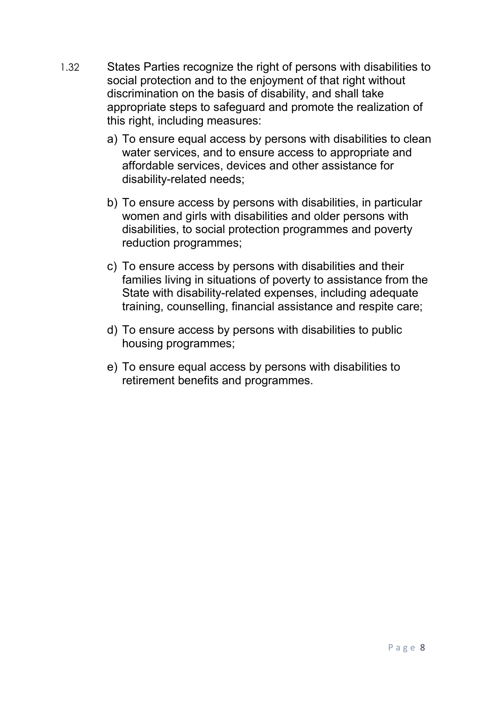- 1.32 States Parties recognize the right of persons with disabilities to social protection and to the enjoyment of that right without discrimination on the basis of disability, and shall take appropriate steps to safeguard and promote the realization of this right, including measures:
	- a) To ensure equal access by persons with disabilities to clean water services, and to ensure access to appropriate and affordable services, devices and other assistance for disability-related needs;
	- b) To ensure access by persons with disabilities, in particular women and girls with disabilities and older persons with disabilities, to social protection programmes and poverty reduction programmes;
	- c) To ensure access by persons with disabilities and their families living in situations of poverty to assistance from the State with disability-related expenses, including adequate training, counselling, financial assistance and respite care;
	- d) To ensure access by persons with disabilities to public housing programmes;
	- e) To ensure equal access by persons with disabilities to retirement benefits and programmes.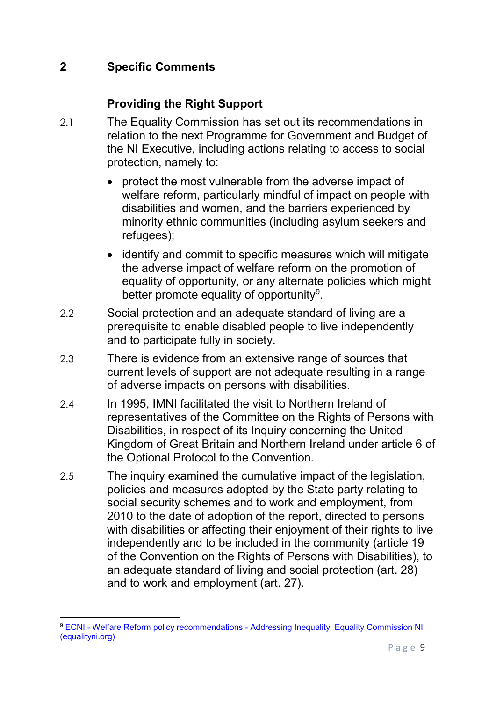## **2 Specific Comments**

### **Providing the Right Support**

- 2.1 The Equality Commission has set out its recommendations in relation to the next Programme for Government and Budget of the NI Executive, including actions relating to access to social protection, namely to:
	- protect the most vulnerable from the adverse impact of welfare reform, particularly mindful of impact on people with disabilities and women, and the barriers experienced by minority ethnic communities (including asylum seekers and refugees);
	- identify and commit to specific measures which will mitigate the adverse impact of welfare reform on the promotion of equality of opportunity, or any alternate policies which might better promote equality of opportunity<sup>[9](#page-8-0)</sup>.
- 2.2 Social protection and an adequate standard of living are a prerequisite to enable disabled people to live independently and to participate fully in society.
- 2.3 There is evidence from an extensive range of sources that current levels of support are not adequate resulting in a range of adverse impacts on persons with disabilities.
- 2.4 In 1995, IMNI facilitated the visit to Northern Ireland of representatives of the Committee on the Rights of Persons with Disabilities, in respect of its Inquiry concerning the United Kingdom of Great Britain and Northern Ireland under article 6 of the Optional Protocol to the Convention.
- 2.5 The inquiry examined the cumulative impact of the legislation, policies and measures adopted by the State party relating to social security schemes and to work and employment, from 2010 to the date of adoption of the report, directed to persons with disabilities or affecting their enjoyment of their rights to live independently and to be included in the community (article 19 of the Convention on the Rights of Persons with Disabilities), to an adequate standard of living and social protection (art. 28) and to work and employment (art. 27).

<span id="page-8-0"></span>**<sup>.</sup>** <sup>9</sup> ECNI - Welfare Reform policy recommendations - [Addressing Inequality, Equality Commission NI](https://www.equalityni.org/WelfareReformPolicy)  [\(equalityni.org\)](https://www.equalityni.org/WelfareReformPolicy)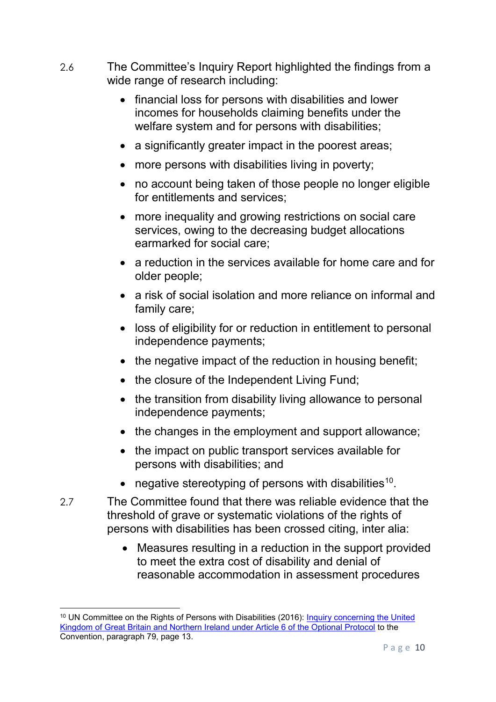- 2.6 The Committee's Inquiry Report highlighted the findings from a wide range of research including:
	- financial loss for persons with disabilities and lower incomes for households claiming benefits under the welfare system and for persons with disabilities;
	- a significantly greater impact in the poorest areas;
	- more persons with disabilities living in poverty;
	- no account being taken of those people no longer eligible for entitlements and services;
	- more inequality and growing restrictions on social care services, owing to the decreasing budget allocations earmarked for social care;
	- a reduction in the services available for home care and for older people;
	- a risk of social isolation and more reliance on informal and family care;
	- loss of eligibility for or reduction in entitlement to personal independence payments;
	- the negative impact of the reduction in housing benefit;
	- the closure of the Independent Living Fund;
	- the transition from disability living allowance to personal independence payments;
	- the changes in the employment and support allowance;
	- the impact on public transport services available for persons with disabilities; and
	- negative stereotyping of persons with disabilities<sup>[10](#page-9-0)</sup>.
- 2.7 The Committee found that there was reliable evidence that the threshold of grave or systematic violations of the rights of persons with disabilities has been crossed citing, inter alia:
	- Measures resulting in a reduction in the support provided to meet the extra cost of disability and denial of reasonable accommodation in assessment procedures

 $\overline{a}$ 

<span id="page-9-0"></span><sup>&</sup>lt;sup>10</sup> UN Committee on the Rights of Persons with Disabilities (2016): Inquiry concerning the United [Kingdom of Great Britain and Northern Ireland under Article 6 of the Optional Protocol](https://www.equalityni.org/ECNI/media/ECNI/Publications/Delivering%20Equality/UNCRPD-CommReport_on_UK.pdf) to the Convention, paragraph 79, page 13.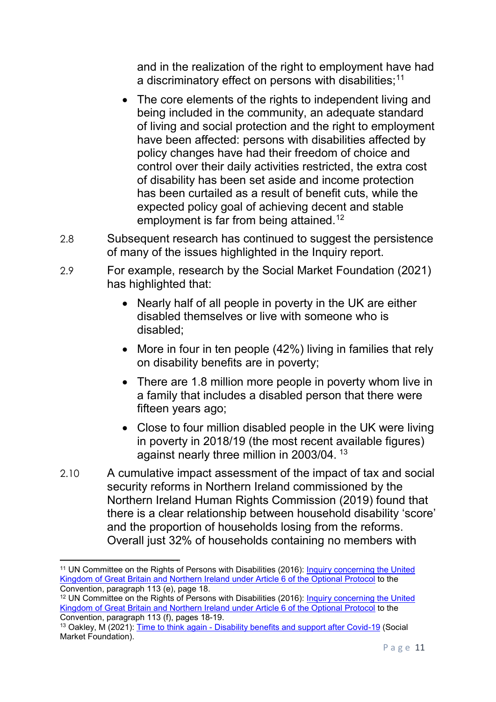and in the realization of the right to employment have had a discriminatory effect on persons with disabilities; $11$ 

- The core elements of the rights to independent living and being included in the community, an adequate standard of living and social protection and the right to employment have been affected: persons with disabilities affected by policy changes have had their freedom of choice and control over their daily activities restricted, the extra cost of disability has been set aside and income protection has been curtailed as a result of benefit cuts, while the expected policy goal of achieving decent and stable employment is far from being attained.<sup>[12](#page-10-1)</sup>
- 2.8 Subsequent research has continued to suggest the persistence of many of the issues highlighted in the Inquiry report.
- 2.9 For example, research by the Social Market Foundation (2021) has highlighted that:
	- Nearly half of all people in poverty in the UK are either disabled themselves or live with someone who is disabled;
	- More in four in ten people (42%) living in families that rely on disability benefits are in poverty;
	- There are 1.8 million more people in poverty whom live in a family that includes a disabled person that there were fifteen years ago;
	- Close to four million disabled people in the UK were living in poverty in 2018/19 (the most recent available figures) against nearly three million in 2003/04. [13](#page-10-2)
- 2.10 A cumulative impact assessment of the impact of tax and social security reforms in Northern Ireland commissioned by the Northern Ireland Human Rights Commission (2019) found that there is a clear relationship between household disability 'score' and the proportion of households losing from the reforms. Overall just 32% of households containing no members with

**.** 

<span id="page-10-0"></span><sup>11</sup> UN Committee on the Rights of Persons with Disabilities (2016): [Inquiry concerning the United](https://www.equalityni.org/ECNI/media/ECNI/Publications/Delivering%20Equality/UNCRPD-CommReport_on_UK.pdf)  [Kingdom of Great Britain and Northern Ireland under Article 6 of the Optional Protocol](https://www.equalityni.org/ECNI/media/ECNI/Publications/Delivering%20Equality/UNCRPD-CommReport_on_UK.pdf) to the Convention, paragraph 113 (e), page 18.

<span id="page-10-1"></span><sup>&</sup>lt;sup>12</sup> UN Committee on the Rights of Persons with Disabilities (2016): Inquiry concerning the United [Kingdom of Great Britain and Northern Ireland under Article 6 of the Optional Protocol](https://www.equalityni.org/ECNI/media/ECNI/Publications/Delivering%20Equality/UNCRPD-CommReport_on_UK.pdf) to the Convention, paragraph 113 (f), pages 18-19.

<span id="page-10-2"></span><sup>13</sup> Oakley, M (2021): Time to think again - [Disability benefits and support after Covid-19](https://www.smf.co.uk/wp-content/uploads/2021/02/Time-to-think-again-Feb-21.pdf) (Social Market Foundation).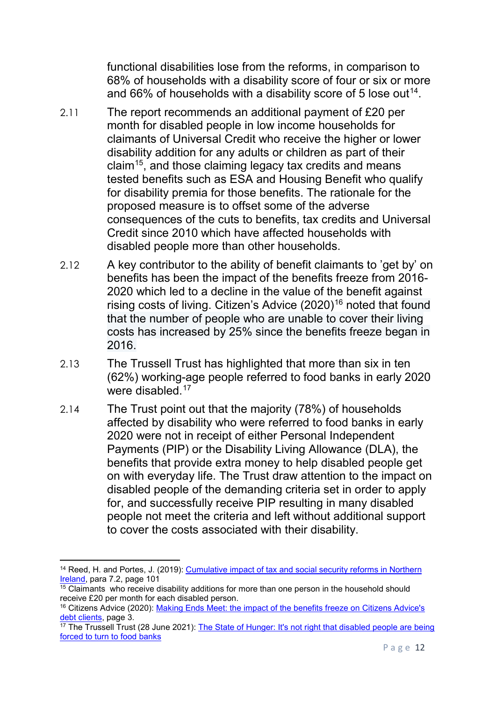functional disabilities lose from the reforms, in comparison to 68% of households with a disability score of four or six or more and 66% of households with a disability score of 5 lose out<sup>[14](#page-11-0)</sup>.

- 2.11 The report recommends an additional payment of £20 per month for disabled people in low income households for claimants of Universal Credit who receive the higher or lower disability addition for any adults or children as part of their claim<sup>15</sup>, and those claiming legacy tax credits and means tested benefits such as ESA and Housing Benefit who qualify for disability premia for those benefits. The rationale for the proposed measure is to offset some of the adverse consequences of the cuts to benefits, tax credits and Universal Credit since 2010 which have affected households with disabled people more than other households.
- 2.12 A key contributor to the ability of benefit claimants to 'get by' on benefits has been the impact of the benefits freeze from 2016- 2020 which led to a decline in the value of the benefit against rising costs of living. Citizen's Advice (2020)<sup>[16](#page-11-2)</sup> noted that found that the number of people who are unable to cover their living costs has increased by 25% since the benefits freeze began in 2016.
- 2.13 The Trussell Trust has highlighted that more than six in ten (62%) working-age people referred to food banks in early 2020 were disabled.<sup>[17](#page-11-3)</sup>
- 2.14 The Trust point out that the majority (78%) of households affected by disability who were referred to food banks in early 2020 were not in receipt of either Personal Independent Payments (PIP) or the Disability Living Allowance (DLA), the benefits that provide extra money to help disabled people get on with everyday life. The Trust draw attention to the impact on disabled people of the demanding criteria set in order to apply for, and successfully receive PIP resulting in many disabled people not meet the criteria and left without additional support to cover the costs associated with their disability.

**.** 

<span id="page-11-0"></span><sup>&</sup>lt;sup>14</sup> Reed, H. and Portes, J. (2019): Cumulative impact of tax and social security reforms in Northern [Ireland,](https://nihrc.org/uploads/publications/Final_CIA_report_Oct_2019.pdf#:%7E:text=The%20Northern%20Ireland%20Human%20Rights%20Commission%20%28NIHRC%29%20commissioned,some%20of%20the%20negative%20impacts%20of%20the%20reforms.) para 7.2, page 101

<span id="page-11-1"></span> $\frac{15}{15}$  Claimants who receive disability additions for more than one person in the household should receive £20 per month for each disabled person.

<span id="page-11-2"></span><sup>&</sup>lt;sup>16</sup> Citizens Advice (2020): Making Ends Meet: the impact of the benefits freeze on Citizens Advice's [debt clients,](https://www.citizensadvice.org.uk/Global/CitizensAdvice/welfare%20publications/Making%20Ends%20Meet%20-%20The%20impact%20of%20the%20benefits%20freeze%20on%20people%20in%20debt%20%20(1).pdf) page 3.

<span id="page-11-3"></span><sup>&</sup>lt;sup>17</sup> The Trussell Trust (28 June 2021): The State of Hunger: It's not right that disabled people are being [forced to turn to food banks](https://www.trusselltrust.org/2021/06/28/the-state-of-hunger-its-not-right-that-disabled-people-are-being-forced-to-turn-to-food-banks/)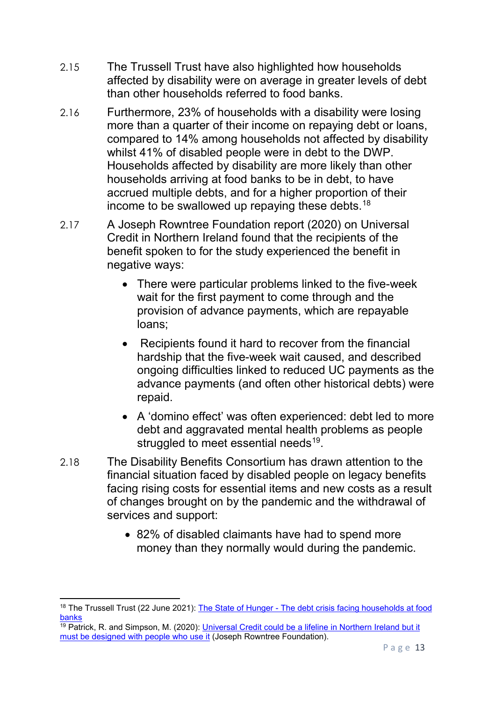- 2.15 The Trussell Trust have also highlighted how households affected by disability were on average in greater levels of debt than other households referred to food banks.
- 2.16 Furthermore, 23% of households with a disability were losing more than a quarter of their income on repaying debt or loans, compared to 14% among households not affected by disability whilst 41% of disabled people were in debt to the DWP. Households affected by disability are more likely than other households arriving at food banks to be in debt, to have accrued multiple debts, and for a higher proportion of their income to be swallowed up repaying these debts. $^{18}$  $^{18}$  $^{18}$
- 2.17 A Joseph Rowntree Foundation report (2020) on Universal Credit in Northern Ireland found that the recipients of the benefit spoken to for the study experienced the benefit in negative ways:
	- There were particular problems linked to the five-week wait for the first payment to come through and the provision of advance payments, which are repayable loans;
	- Recipients found it hard to recover from the financial hardship that the five-week wait caused, and described ongoing difficulties linked to reduced UC payments as the advance payments (and often other historical debts) were repaid.
	- A 'domino effect' was often experienced: debt led to more debt and aggravated mental health problems as people struggled to meet essential needs<sup>19</sup>.
- 2.18 The Disability Benefits Consortium has drawn attention to the financial situation faced by disabled people on legacy benefits facing rising costs for essential items and new costs as a result of changes brought on by the pandemic and the withdrawal of services and support:
	- 82% of disabled claimants have had to spend more money than they normally would during the pandemic.

<span id="page-12-0"></span> $\overline{a}$ <sup>18</sup> The Trussell Trust (22 June 2021): The State of Hunger - The debt crisis facing households at food [banks](https://www.trusselltrust.org/2021/06/22/the-state-of-hunger-the-debt-crisis-facing-households-at-food-banks/)

<span id="page-12-1"></span> $\frac{19}{19}$  Patrick, R. and Simpson, M. (2020): Universal Credit could be a lifeline in Northern Ireland but it [must be designed with](https://www.jrf.org.uk/report/universal-credit-could-be-lifeline-northern-ireland-it-must-be-designed-people-who-use-it) people who use it (Joseph Rowntree Foundation).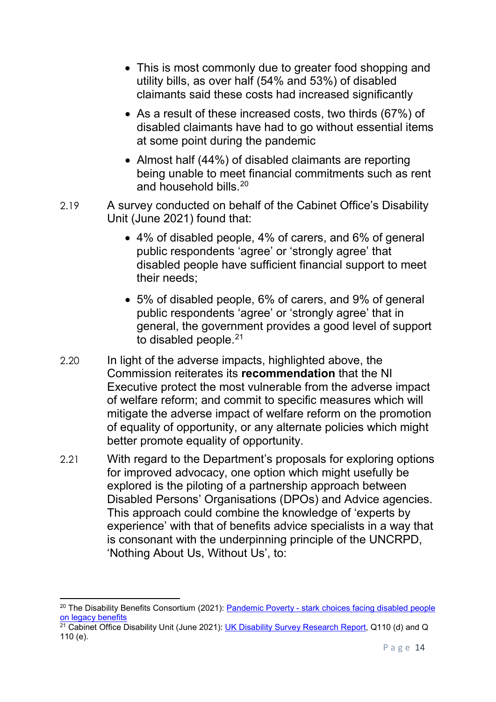- This is most commonly due to greater food shopping and utility bills, as over half (54% and 53%) of disabled claimants said these costs had increased significantly
- As a result of these increased costs, two thirds (67%) of disabled claimants have had to go without essential items at some point during the pandemic
- Almost half (44%) of disabled claimants are reporting being unable to meet financial commitments such as rent and household bills.  $20$
- 2.19 A survey conducted on behalf of the Cabinet Office's Disability Unit (June 2021) found that:
	- 4% of disabled people, 4% of carers, and 6% of general public respondents 'agree' or 'strongly agree' that disabled people have sufficient financial support to meet their needs;
	- 5% of disabled people, 6% of carers, and 9% of general public respondents 'agree' or 'strongly agree' that in general, the government provides a good level of support to disabled people.<sup>[21](#page-13-1)</sup>
- 2.20 In light of the adverse impacts, highlighted above, the Commission reiterates its **recommendation** that the NI Executive protect the most vulnerable from the adverse impact of welfare reform; and commit to specific measures which will mitigate the adverse impact of welfare reform on the promotion of equality of opportunity, or any alternate policies which might better promote equality of opportunity.
- 2.21 With regard to the Department's proposals for exploring options for improved advocacy, one option which might usefully be explored is the piloting of a partnership approach between Disabled Persons' Organisations (DPOs) and Advice agencies. This approach could combine the knowledge of 'experts by experience' with that of benefits advice specialists in a way that is consonant with the underpinning principle of the UNCRPD, 'Nothing About Us, Without Us', to:

 $\overline{a}$ 

<span id="page-13-0"></span><sup>&</sup>lt;sup>20</sup> The Disability Benefits Consortium (2021): Pandemic Poverty - stark choices facing disabled people [on legacy benefits](file://equality.local/root/Data1/PUBLIC%20POLICY/ConsultationResponses/B_ConsultationsAndResponses/DfC/2021-Health&DisabilityGreenPaper/2-ECNI-WorkingDocs/MS%20Society%20External%20template%20(wordpress.com))

<span id="page-13-1"></span> $21$  Cabinet Office Disability Unit (June 2021): [UK Disability Survey Research Report,](https://www.gov.uk/government/publications/uk-disability-survey-research-report-june-2021/uk-disability-survey-research-report-june-2021) Q110 (d) and Q  $110 (e)$ .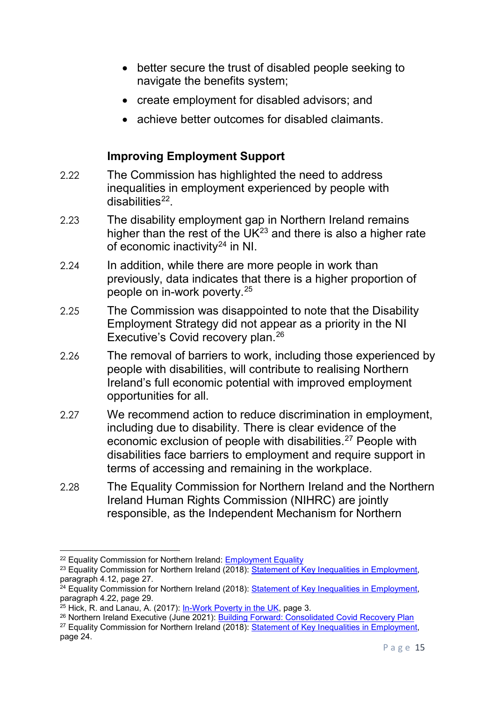- better secure the trust of disabled people seeking to navigate the benefits system;
- create employment for disabled advisors; and
- achieve better outcomes for disabled claimants.

#### **Improving Employment Support**

- 2.22 The Commission has highlighted the need to address inequalities in employment experienced by people with  $disabilities<sup>22</sup>$ .
- 2.23 The disability employment gap in Northern Ireland remains higher than the rest of the  $UK^{23}$  $UK^{23}$  $UK^{23}$  and there is also a higher rate of economic inactivity<sup>[24](#page-14-2)</sup> in NI.
- 2.24 In addition, while there are more people in work than previously, data indicates that there is a higher proportion of people on in-work poverty. [25](#page-14-3)
- 2.25 The Commission was disappointed to note that the Disability Employment Strategy did not appear as a priority in the NI Executive's Covid recovery plan.<sup>[26](#page-14-4)</sup>
- 2.26 The removal of barriers to work, including those experienced by people with disabilities, will contribute to realising Northern Ireland's full economic potential with improved employment opportunities for all.
- 2.27 We recommend action to reduce discrimination in employment, including due to disability. There is clear evidence of the economic exclusion of people with disabilities.<sup>[27](#page-14-5)</sup> People with disabilities face barriers to employment and require support in terms of accessing and remaining in the workplace.
- 2.28 The Equality Commission for Northern Ireland and the Northern Ireland Human Rights Commission (NIHRC) are jointly responsible, as the Independent Mechanism for Northern

<u>.</u>

<span id="page-14-0"></span><sup>&</sup>lt;sup>22</sup> Equality Commission for Northern Ireland: **Employment Equality** 

<span id="page-14-1"></span><sup>&</sup>lt;sup>23</sup> Equality Commission for Northern Ireland (2018): [Statement of Key Inequalities in Employment,](https://www.equalityni.org/ECNI/media/ECNI/Publications/Delivering%20Equality/Employment-KeyInequalitiesStatement.pdf) paragraph 4.12, page 27.

<span id="page-14-2"></span> $24$  Equality Commission for Northern Ireland (2018): [Statement of Key Inequalities in Employment,](https://www.equalityni.org/ECNI/media/ECNI/Publications/Delivering%20Equality/Employment-KeyInequalitiesStatement.pdf) paragraph 4.22, page 29.

<span id="page-14-3"></span> $25$  Hick, R. and Lanau, A. (2017): [In-Work Poverty in the UK,](https://www.nuffieldfoundation.org/sites/default/files/files/Hick%20and%20Lanau%20_%20In-Work%20Poverty%20in%20the%20UK.pdf) page 3.

<span id="page-14-4"></span><sup>&</sup>lt;sup>26</sup> Northern Ireland Executive (June 2021): [Building Forward: Consolidated Covid Recovery Plan](https://www.executiveoffice-ni.gov.uk/sites/default/files/publications/execoffice/consolidated-covid-19-recovery-plan.pdf)

<span id="page-14-5"></span><sup>&</sup>lt;sup>27</sup> Equality Commission for Northern Ireland (2018): [Statement of Key Inequalities in Employment,](https://www.equalityni.org/ECNI/media/ECNI/Publications/Delivering%20Equality/Employment-KeyInequalitiesStatement.pdf) page 24.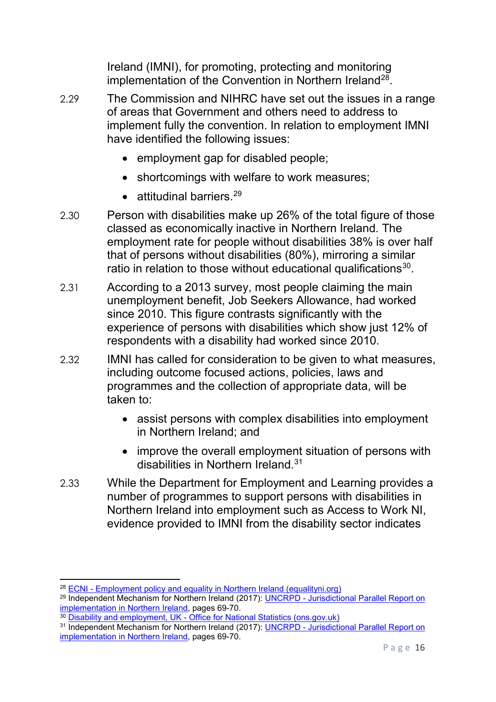Ireland (IMNI), for promoting, protecting and monitoring implementation of the Convention in Northern Ireland<sup>28</sup>.

- 2.29 The Commission and NIHRC have set out the issues in a range of areas that Government and others need to address to implement fully the convention. In relation to employment IMNI have identified the following issues:
	- employment gap for disabled people;
	- shortcomings with welfare to work measures;
	- attitudinal barriers.<sup>[29](#page-15-1)</sup>
- 2.30 Person with disabilities make up 26% of the total figure of those classed as economically inactive in Northern Ireland. The employment rate for people without disabilities 38% is over half that of persons without disabilities (80%), mirroring a similar ratio in relation to those without educational qualifications $30$ .
- 2.31 According to a 2013 survey, most people claiming the main unemployment benefit, Job Seekers Allowance, had worked since 2010. This figure contrasts significantly with the experience of persons with disabilities which show just 12% of respondents with a disability had worked since 2010.
- 2.32 IMNI has called for consideration to be given to what measures, including outcome focused actions, policies, laws and programmes and the collection of appropriate data, will be taken to:
	- assist persons with complex disabilities into employment in Northern Ireland; and
	- improve the overall employment situation of persons with disabilities in Northern Ireland.<sup>[31](#page-15-3)</sup>
- 2.33 While the Department for Employment and Learning provides a number of programmes to support persons with disabilities in Northern Ireland into employment such as Access to Work NI, evidence provided to IMNI from the disability sector indicates

<span id="page-15-0"></span><sup>28</sup> ECNI - [Employment policy and equality in Northern Ireland \(equalityni.org\)](https://www.equalityni.org/Delivering-Equality/Addressing-inequality/Employment/Policy)

<span id="page-15-1"></span><sup>&</sup>lt;sup>29</sup> Independent Mechanism for Northern Ireland (2017): UNCRPD - Jurisdictional Parallel Report on [implementation in Northern Ireland,](https://www.equalityni.org/ECNI/media/ECNI/Publications/Delivering%20Equality/IMNI_CRPD_ParallelJurisdictionalReport_WorkingPaper(Aug17).pdf) pages 69-70.

<span id="page-15-2"></span><sup>&</sup>lt;sup>30</sup> <u>Disability and employment, UK - [Office for National Statistics \(ons.gov.uk\)](https://www.ons.gov.uk/peoplepopulationandcommunity/healthandsocialcare/disability/bulletins/disabilityandemploymentuk/2019#:%7E:text=However%2C%20Northern%20Ireland%20had%20the,disparity%20(42.3%20percentage%20points).)</u>

<span id="page-15-3"></span><sup>&</sup>lt;sup>31</sup> Independent Mechanism for Northern Ireland (2017): <u>UNCRPD - Jurisdictional Parallel Report on</u> [implementation in Northern Ireland,](https://www.equalityni.org/ECNI/media/ECNI/Publications/Delivering%20Equality/IMNI_CRPD_ParallelJurisdictionalReport_WorkingPaper(Aug17).pdf) pages 69-70.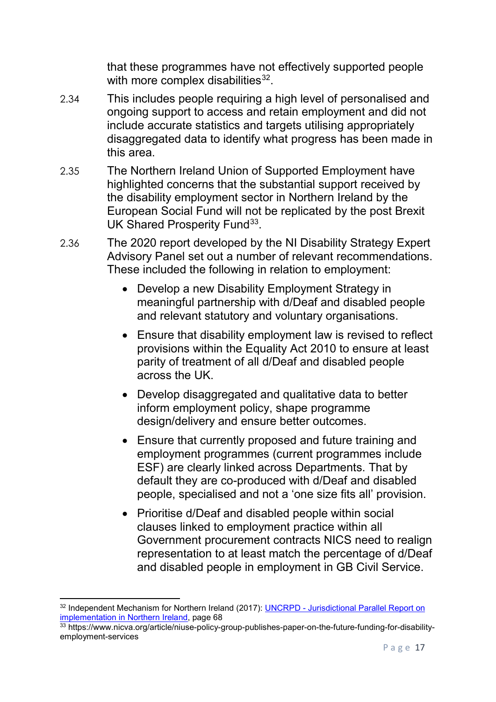that these programmes have not effectively supported people with more complex disabilities $32$ .

- 2.34 This includes people requiring a high level of personalised and ongoing support to access and retain employment and did not include accurate statistics and targets utilising appropriately disaggregated data to identify what progress has been made in this area.
- 2.35 The Northern Ireland Union of Supported Employment have highlighted concerns that the substantial support received by the disability employment sector in Northern Ireland by the European Social Fund will not be replicated by the post Brexit UK Shared Prosperity Fund<sup>[33](#page-16-1)</sup>.
- 2.36 The 2020 report developed by the NI Disability Strategy Expert Advisory Panel set out a number of relevant recommendations. These included the following in relation to employment:
	- Develop a new Disability Employment Strategy in meaningful partnership with d/Deaf and disabled people and relevant statutory and voluntary organisations.
	- Ensure that disability employment law is revised to reflect provisions within the Equality Act 2010 to ensure at least parity of treatment of all d/Deaf and disabled people across the UK.
	- Develop disaggregated and qualitative data to better inform employment policy, shape programme design/delivery and ensure better outcomes.
	- Ensure that currently proposed and future training and employment programmes (current programmes include ESF) are clearly linked across Departments. That by default they are co-produced with d/Deaf and disabled people, specialised and not a 'one size fits all' provision.
	- Prioritise d/Deaf and disabled people within social clauses linked to employment practice within all Government procurement contracts NICS need to realign representation to at least match the percentage of d/Deaf and disabled people in employment in GB Civil Service.

<span id="page-16-0"></span><sup>32</sup> Independent Mechanism for Northern Ireland (2017): UNCRPD - [Jurisdictional Parallel Report](https://www.equalityni.org/ECNI/media/ECNI/Publications/Delivering%20Equality/IMNI_CRPD_ParallelJurisdictionalReport_WorkingPaper(Aug17).pdf) on [implementation in Northern Ireland,](https://www.equalityni.org/ECNI/media/ECNI/Publications/Delivering%20Equality/IMNI_CRPD_ParallelJurisdictionalReport_WorkingPaper(Aug17).pdf) page 68

<span id="page-16-1"></span><sup>33</sup> https://www.nicva.org/article/niuse-policy-group-publishes-paper-on-the-future-funding-for-disabilityemployment-services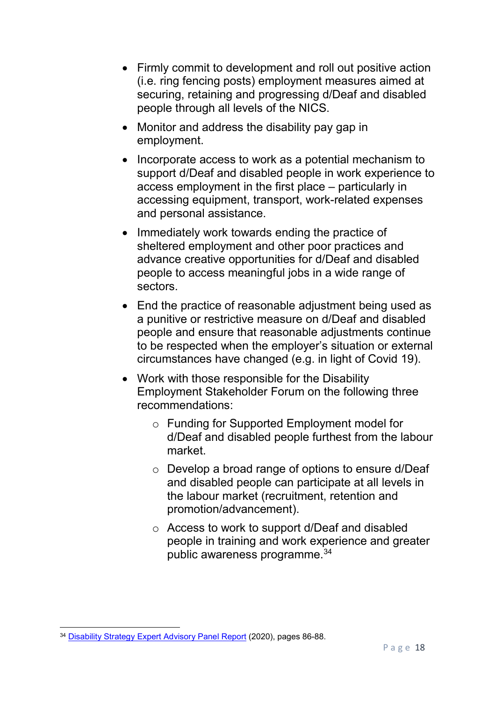- Firmly commit to development and roll out positive action (i.e. ring fencing posts) employment measures aimed at securing, retaining and progressing d/Deaf and disabled people through all levels of the NICS.
- Monitor and address the disability pay gap in employment.
- Incorporate access to work as a potential mechanism to support d/Deaf and disabled people in work experience to access employment in the first place – particularly in accessing equipment, transport, work-related expenses and personal assistance.
- Immediately work towards ending the practice of sheltered employment and other poor practices and advance creative opportunities for d/Deaf and disabled people to access meaningful jobs in a wide range of sectors.
- End the practice of reasonable adjustment being used as a punitive or restrictive measure on d/Deaf and disabled people and ensure that reasonable adjustments continue to be respected when the employer's situation or external circumstances have changed (e.g. in light of Covid 19).
- Work with those responsible for the Disability Employment Stakeholder Forum on the following three recommendations:
	- o Funding for Supported Employment model for d/Deaf and disabled people furthest from the labour market.
	- o Develop a broad range of options to ensure d/Deaf and disabled people can participate at all levels in the labour market (recruitment, retention and promotion/advancement).
	- o Access to work to support d/Deaf and disabled people in training and work experience and greater public awareness programme.<sup>[34](#page-17-0)</sup>

<span id="page-17-0"></span>**<sup>.</sup>** <sup>34</sup> [Disability Strategy Expert Advisory Panel Report](https://www.communities-ni.gov.uk/system/files/publications/communities/dfc-social-inclusion-strategy-disability-expert-advisory-panel-report.pdf) (2020), pages 86-88.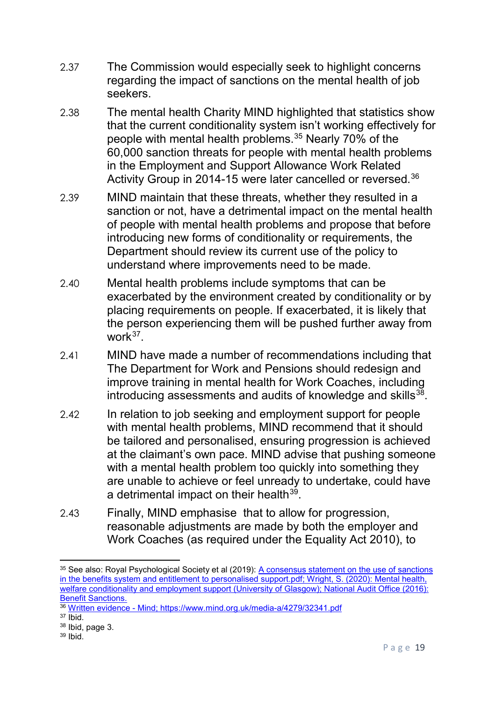- 2.37 The Commission would especially seek to highlight concerns regarding the impact of sanctions on the mental health of job seekers.
- 2.38 The mental health Charity MIND highlighted that statistics show that the current conditionality system isn't working effectively for people with mental health problems.[35](#page-18-0) Nearly 70% of the 60,000 sanction threats for people with mental health problems in the Employment and Support Allowance Work Related Activity Group in 2014-15 were later cancelled or reversed.[36](#page-18-1)
- 2.39 MIND maintain that these threats, whether they resulted in a sanction or not, have a detrimental impact on the mental health of people with mental health problems and propose that before introducing new forms of conditionality or requirements, the Department should review its current use of the policy to understand where improvements need to be made.
- 2.40 Mental health problems include symptoms that can be exacerbated by the environment created by conditionality or by placing requirements on people. If exacerbated, it is likely that the person experiencing them will be pushed further away from work $37$
- 2.41 MIND have made a number of recommendations including that The Department for Work and Pensions should redesign and improve training in mental health for Work Coaches, including introducing assessments and audits of knowledge and skills  $38$ .
- 2.42 In relation to job seeking and employment support for people with mental health problems, MIND recommend that it should be tailored and personalised, ensuring progression is achieved at the claimant's own pace. MIND advise that pushing someone with a mental health problem too quickly into something they are unable to achieve or feel unready to undertake, could have a detrimental impact on their health $39$ .
- 2.43 Finally, MIND emphasise that to allow for progression, reasonable adjustments are made by both the employer and Work Coaches (as required under the Equality Act 2010), to

<span id="page-18-0"></span>**<sup>.</sup>** 35 See also: Royal Psychological Society et al (2019): A consensus statement on the use of sanctions in the benefits system and entitlement to personalised support.pdf; Wright, S. (2020): [Mental health,](http://eprints.gla.ac.uk/224227/)  [welfare conditionality and employment support](http://eprints.gla.ac.uk/224227/) (University of Glasgow); National Audit Office (2016): [Benefit Sanctions.](https://www.nao.org.uk/wp-content/uploads/2016/11/Benefit-sanctions.pdf)

<span id="page-18-1"></span><sup>36</sup> [Written evidence -](https://www.mind.org.uk/media-a/4278/26980.pdf) Mind;<https://www.mind.org.uk/media-a/4279/32341.pdf>

<span id="page-18-2"></span> $37$  Ibid.

<span id="page-18-4"></span><span id="page-18-3"></span><sup>38</sup> Ibid, page 3.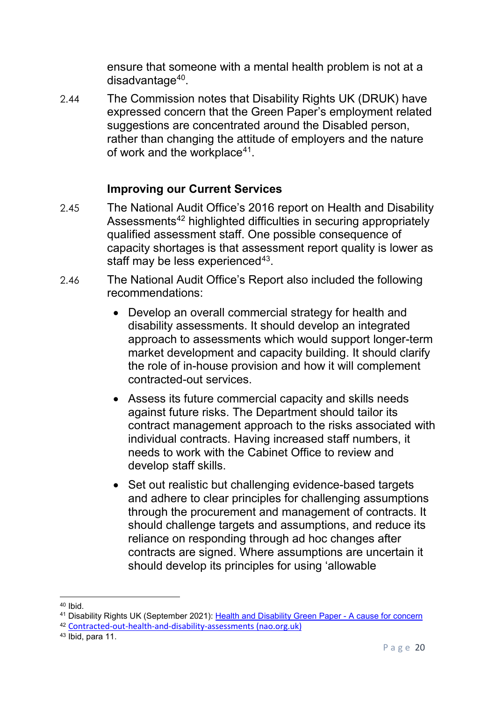ensure that someone with a mental health problem is not at a disadvantage<sup>40</sup>.

2.44 The Commission notes that Disability Rights UK (DRUK) have expressed concern that the Green Paper's employment related suggestions are concentrated around the Disabled person, rather than changing the attitude of employers and the nature of work and the workplace $41$ .

## **Improving our Current Services**

- 2.45 The National Audit Office's 2016 report on Health and Disability Assessments<sup>[42](#page-19-2)</sup> highlighted difficulties in securing appropriately qualified assessment staff. One possible consequence of capacity shortages is that assessment report quality is lower as staff may be less experienced $43$ .
- 2.46 The National Audit Office's Report also included the following recommendations:
	- Develop an overall commercial strategy for health and disability assessments. It should develop an integrated approach to assessments which would support longer-term market development and capacity building. It should clarify the role of in-house provision and how it will complement contracted-out services.
	- Assess its future commercial capacity and skills needs against future risks. The Department should tailor its contract management approach to the risks associated with individual contracts. Having increased staff numbers, it needs to work with the Cabinet Office to review and develop staff skills.
	- Set out realistic but challenging evidence-based targets and adhere to clear principles for challenging assumptions through the procurement and management of contracts. It should challenge targets and assumptions, and reduce its reliance on responding through ad hoc changes after contracts are signed. Where assumptions are uncertain it should develop its principles for using 'allowable

<span id="page-19-0"></span> $40$  Ibid.

<span id="page-19-1"></span><sup>41</sup> Disability Rights UK (September 2021): [Health and Disability Green Paper -](https://www.disabilityrightsuk.org/news/2021/september/health-and-disability-green-paper-%E2%80%93-cause-concern) A cause for concern

<span id="page-19-2"></span><sup>42</sup> [Contracted-out-health-and-disability-assessments \(nao.org.uk\)](https://www.nao.org.uk/wp-content/uploads/2016/01/Contracted-out-health-and-disability-assessments.pdf)

<span id="page-19-3"></span><sup>43</sup> Ibid, para 11.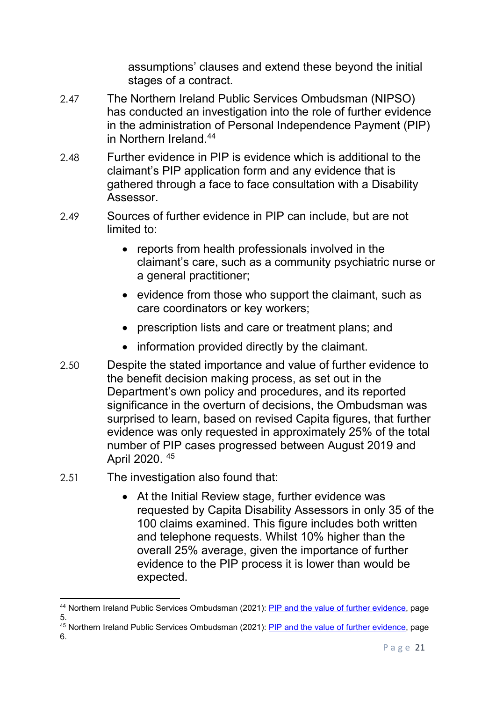assumptions' clauses and extend these beyond the initial stages of a contract.

- 2.47 The Northern Ireland Public Services Ombudsman (NIPSO) has conducted an investigation into the role of further evidence in the administration of Personal Independence Payment (PIP) in Northern Ireland [44](#page-20-0)
- 2.48 Further evidence in PIP is evidence which is additional to the claimant's PIP application form and any evidence that is gathered through a face to face consultation with a Disability Assessor.
- 2.49 Sources of further evidence in PIP can include, but are not limited to:
	- reports from health professionals involved in the claimant's care, such as a community psychiatric nurse or a general practitioner;
	- evidence from those who support the claimant, such as care coordinators or key workers;
	- prescription lists and care or treatment plans; and
	- information provided directly by the claimant.
- 2.50 Despite the stated importance and value of further evidence to the benefit decision making process, as set out in the Department's own policy and procedures, and its reported significance in the overturn of decisions, the Ombudsman was surprised to learn, based on revised Capita figures, that further evidence was only requested in approximately 25% of the total number of PIP cases progressed between August 2019 and April 2020. [45](#page-20-1)
- 2.51 The investigation also found that:
	- At the Initial Review stage, further evidence was requested by Capita Disability Assessors in only 35 of the 100 claims examined. This figure includes both written and telephone requests. Whilst 10% higher than the overall 25% average, given the importance of further evidence to the PIP process it is lower than would be expected.

<span id="page-20-0"></span> $\overline{\phantom{a}}$ <sup>44</sup> Northern Ireland Public Services Ombudsman (2021): [PIP and the value of further evidence,](https://nipso.org.uk/site/wp-content/uploads/2021/06/NIPSO-Own-Initiative-Full-report.pdf) page 5.

<span id="page-20-1"></span><sup>45</sup> Northern Ireland Public Services Ombudsman (2021): [PIP and the value of further evidence,](https://nipso.org.uk/site/wp-content/uploads/2021/06/NIPSO-Own-Initiative-Full-report.pdf) page 6.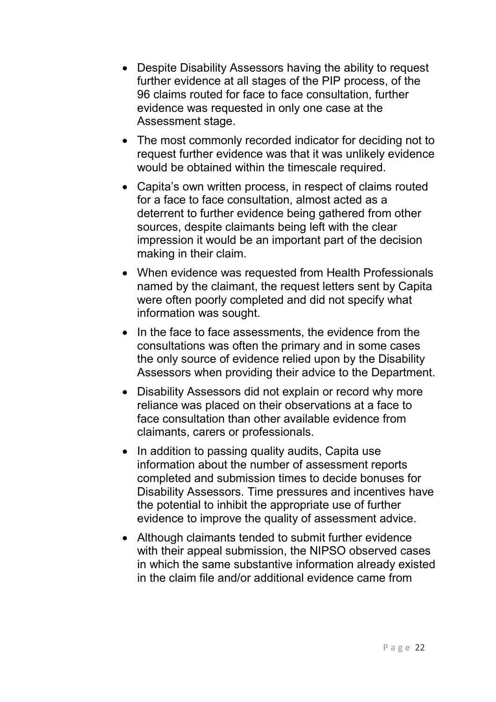- Despite Disability Assessors having the ability to request further evidence at all stages of the PIP process, of the 96 claims routed for face to face consultation, further evidence was requested in only one case at the Assessment stage.
- The most commonly recorded indicator for deciding not to request further evidence was that it was unlikely evidence would be obtained within the timescale required.
- Capita's own written process, in respect of claims routed for a face to face consultation, almost acted as a deterrent to further evidence being gathered from other sources, despite claimants being left with the clear impression it would be an important part of the decision making in their claim.
- When evidence was requested from Health Professionals named by the claimant, the request letters sent by Capita were often poorly completed and did not specify what information was sought.
- In the face to face assessments, the evidence from the consultations was often the primary and in some cases the only source of evidence relied upon by the Disability Assessors when providing their advice to the Department.
- Disability Assessors did not explain or record why more reliance was placed on their observations at a face to face consultation than other available evidence from claimants, carers or professionals.
- In addition to passing quality audits, Capita use information about the number of assessment reports completed and submission times to decide bonuses for Disability Assessors. Time pressures and incentives have the potential to inhibit the appropriate use of further evidence to improve the quality of assessment advice.
- Although claimants tended to submit further evidence with their appeal submission, the NIPSO observed cases in which the same substantive information already existed in the claim file and/or additional evidence came from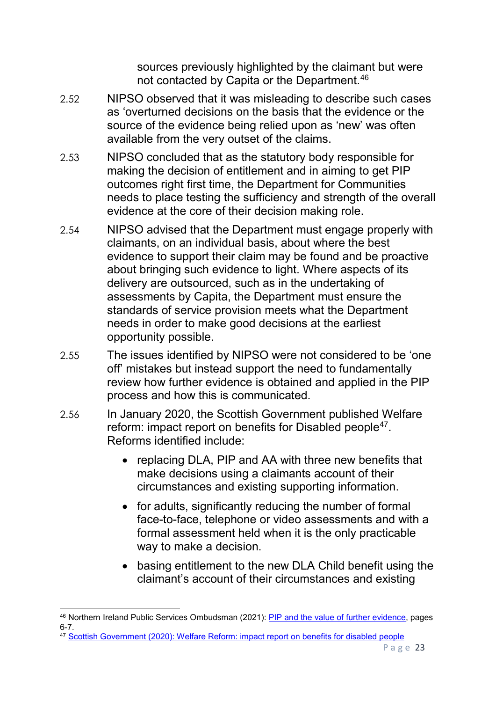sources previously highlighted by the claimant but were not contacted by Capita or the Department.[46](#page-22-0)

- 2.52 NIPSO observed that it was misleading to describe such cases as 'overturned decisions on the basis that the evidence or the source of the evidence being relied upon as 'new' was often available from the very outset of the claims.
- 2.53 NIPSO concluded that as the statutory body responsible for making the decision of entitlement and in aiming to get PIP outcomes right first time, the Department for Communities needs to place testing the sufficiency and strength of the overall evidence at the core of their decision making role.
- 2.54 NIPSO advised that the Department must engage properly with claimants, on an individual basis, about where the best evidence to support their claim may be found and be proactive about bringing such evidence to light. Where aspects of its delivery are outsourced, such as in the undertaking of assessments by Capita, the Department must ensure the standards of service provision meets what the Department needs in order to make good decisions at the earliest opportunity possible.
- 2.55 The issues identified by NIPSO were not considered to be 'one off' mistakes but instead support the need to fundamentally review how further evidence is obtained and applied in the PIP process and how this is communicated.
- 2.56 In January 2020, the Scottish Government published Welfare reform: impact report on benefits for Disabled people<sup>[47](#page-22-1)</sup>. Reforms identified include:
	- replacing DLA, PIP and AA with three new benefits that make decisions using a claimants account of their circumstances and existing supporting information.
	- for adults, significantly reducing the number of formal face-to-face, telephone or video assessments and with a formal assessment held when it is the only practicable way to make a decision.
	- basing entitlement to the new DLA Child benefit using the claimant's account of their circumstances and existing

<span id="page-22-1"></span><sup>47</sup> [Scottish Government \(2020\): Welfare Reform: impact report on benefits for disabled people](https://www.gov.scot/publications/welfare-reform-report-impact-welfare-reforms-disabled-people/)

<span id="page-22-0"></span><sup>&</sup>lt;sup>46</sup> Northern Ireland Public Services Ombudsman (2021): <u>PIP and the value of further evidence</u>, pages 6-7.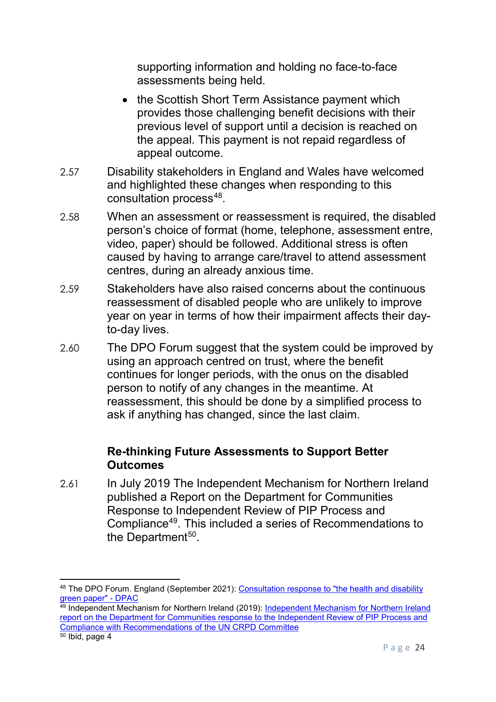supporting information and holding no face-to-face assessments being held.

- the Scottish Short Term Assistance payment which provides those challenging benefit decisions with their previous level of support until a decision is reached on the appeal. This payment is not repaid regardless of appeal outcome.
- 2.57 Disability stakeholders in England and Wales have welcomed and highlighted these changes when responding to this consultation process<sup>48</sup>.
- 2.58 When an assessment or reassessment is required, the disabled person's choice of format (home, telephone, assessment entre, video, paper) should be followed. Additional stress is often caused by having to arrange care/travel to attend assessment centres, during an already anxious time.
- 2.59 Stakeholders have also raised concerns about the continuous reassessment of disabled people who are unlikely to improve year on year in terms of how their impairment affects their dayto-day lives.
- 2.60 The DPO Forum suggest that the system could be improved by using an approach centred on trust, where the benefit continues for longer periods, with the onus on the disabled person to notify of any changes in the meantime. At reassessment, this should be done by a simplified process to ask if anything has changed, since the last claim.

#### **Re-thinking Future Assessments to Support Better Outcomes**

2.61 In July 2019 The Independent Mechanism for Northern Ireland published a Report on the Department for Communities Response to Independent Review of PIP Process and Compliance[49](#page-23-1). This included a series of Recommendations to the Department $50$ .

<span id="page-23-0"></span> $\overline{\phantom{a}}$ 48 The DPO Forum. England (September 2021): Consultation response to "the health and disability [green paper" -](https://dpac.uk.net/2021/09/the-dpo-forum-england-consultation-response-to-the-health-and-disability-green-paper/) DPAC

<span id="page-23-1"></span><sup>&</sup>lt;sup>49</sup> [Independent Mechanism for Northern Ireland](https://www.equalityni.org/ECNI/media/ECNI/Consultation%20Responses/2019/PIP-in-NI-IMNI-020719.pdf?ext=.pdf) (2019): Independent Mechanism for Northern Ireland [report on the Department for Communities response to the Independent Review of PIP Process and](https://www.equalityni.org/ECNI/media/ECNI/Consultation%20Responses/2019/PIP-in-NI-IMNI-020719.pdf?ext=.pdf)  [Compliance with Recommendations of the UN CRPD Committee](https://www.equalityni.org/ECNI/media/ECNI/Consultation%20Responses/2019/PIP-in-NI-IMNI-020719.pdf?ext=.pdf)

<span id="page-23-2"></span> $\frac{50 \text{ libid}}{20 \text{ to } 4}$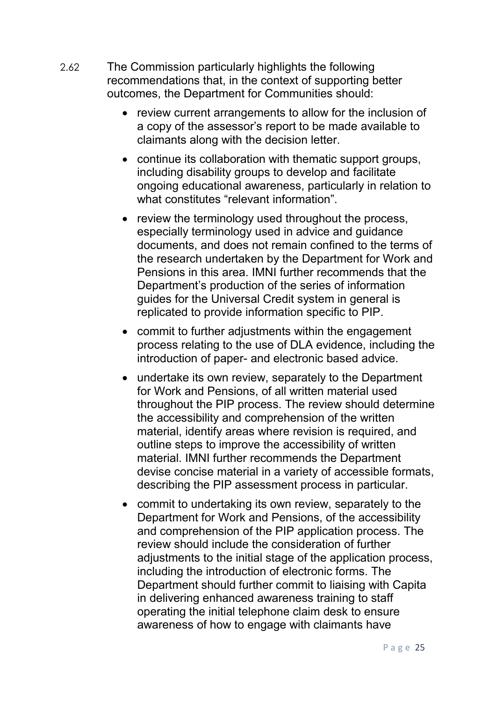- 2.62 The Commission particularly highlights the following recommendations that, in the context of supporting better outcomes, the Department for Communities should:
	- review current arrangements to allow for the inclusion of a copy of the assessor's report to be made available to claimants along with the decision letter.
	- continue its collaboration with thematic support groups, including disability groups to develop and facilitate ongoing educational awareness, particularly in relation to what constitutes "relevant information".
	- review the terminology used throughout the process, especially terminology used in advice and guidance documents, and does not remain confined to the terms of the research undertaken by the Department for Work and Pensions in this area. IMNI further recommends that the Department's production of the series of information guides for the Universal Credit system in general is replicated to provide information specific to PIP.
	- commit to further adjustments within the engagement process relating to the use of DLA evidence, including the introduction of paper- and electronic based advice.
	- undertake its own review, separately to the Department for Work and Pensions, of all written material used throughout the PIP process. The review should determine the accessibility and comprehension of the written material, identify areas where revision is required, and outline steps to improve the accessibility of written material. IMNI further recommends the Department devise concise material in a variety of accessible formats, describing the PIP assessment process in particular.
	- commit to undertaking its own review, separately to the Department for Work and Pensions, of the accessibility and comprehension of the PIP application process. The review should include the consideration of further adjustments to the initial stage of the application process, including the introduction of electronic forms. The Department should further commit to liaising with Capita in delivering enhanced awareness training to staff operating the initial telephone claim desk to ensure awareness of how to engage with claimants have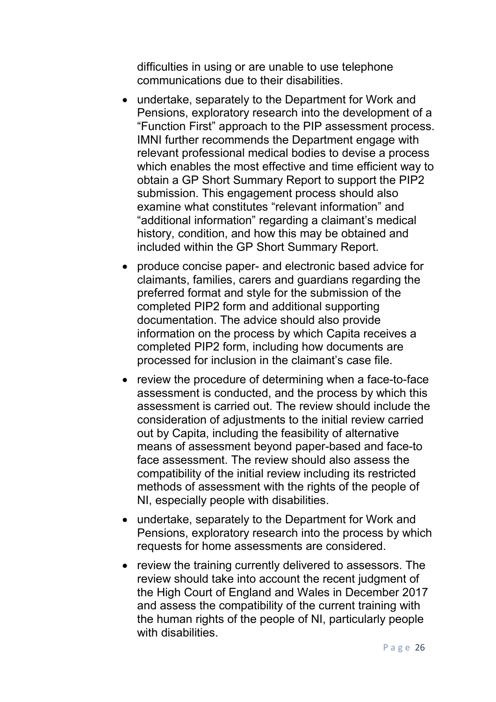difficulties in using or are unable to use telephone communications due to their disabilities.

- undertake, separately to the Department for Work and Pensions, exploratory research into the development of a "Function First" approach to the PIP assessment process. IMNI further recommends the Department engage with relevant professional medical bodies to devise a process which enables the most effective and time efficient way to obtain a GP Short Summary Report to support the PIP2 submission. This engagement process should also examine what constitutes "relevant information" and "additional information" regarding a claimant's medical history, condition, and how this may be obtained and included within the GP Short Summary Report.
- produce concise paper- and electronic based advice for claimants, families, carers and guardians regarding the preferred format and style for the submission of the completed PIP2 form and additional supporting documentation. The advice should also provide information on the process by which Capita receives a completed PIP2 form, including how documents are processed for inclusion in the claimant's case file.
- review the procedure of determining when a face-to-face assessment is conducted, and the process by which this assessment is carried out. The review should include the consideration of adjustments to the initial review carried out by Capita, including the feasibility of alternative means of assessment beyond paper-based and face-to face assessment. The review should also assess the compatibility of the initial review including its restricted methods of assessment with the rights of the people of NI, especially people with disabilities.
- undertake, separately to the Department for Work and Pensions, exploratory research into the process by which requests for home assessments are considered.
- review the training currently delivered to assessors. The review should take into account the recent judgment of the High Court of England and Wales in December 2017 and assess the compatibility of the current training with the human rights of the people of NI, particularly people with disabilities.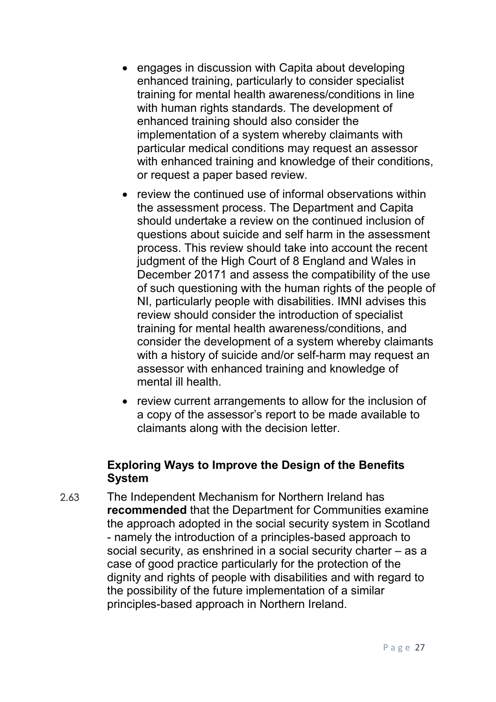- engages in discussion with Capita about developing enhanced training, particularly to consider specialist training for mental health awareness/conditions in line with human rights standards. The development of enhanced training should also consider the implementation of a system whereby claimants with particular medical conditions may request an assessor with enhanced training and knowledge of their conditions, or request a paper based review.
- review the continued use of informal observations within the assessment process. The Department and Capita should undertake a review on the continued inclusion of questions about suicide and self harm in the assessment process. This review should take into account the recent judgment of the High Court of 8 England and Wales in December 20171 and assess the compatibility of the use of such questioning with the human rights of the people of NI, particularly people with disabilities. IMNI advises this review should consider the introduction of specialist training for mental health awareness/conditions, and consider the development of a system whereby claimants with a history of suicide and/or self-harm may request an assessor with enhanced training and knowledge of mental ill health.
- review current arrangements to allow for the inclusion of a copy of the assessor's report to be made available to claimants along with the decision letter.

#### **Exploring Ways to Improve the Design of the Benefits System**

2.63 The Independent Mechanism for Northern Ireland has **recommended** that the Department for Communities examine the approach adopted in the social security system in Scotland - namely the introduction of a principles-based approach to social security, as enshrined in a social security charter – as a case of good practice particularly for the protection of the dignity and rights of people with disabilities and with regard to the possibility of the future implementation of a similar principles-based approach in Northern Ireland.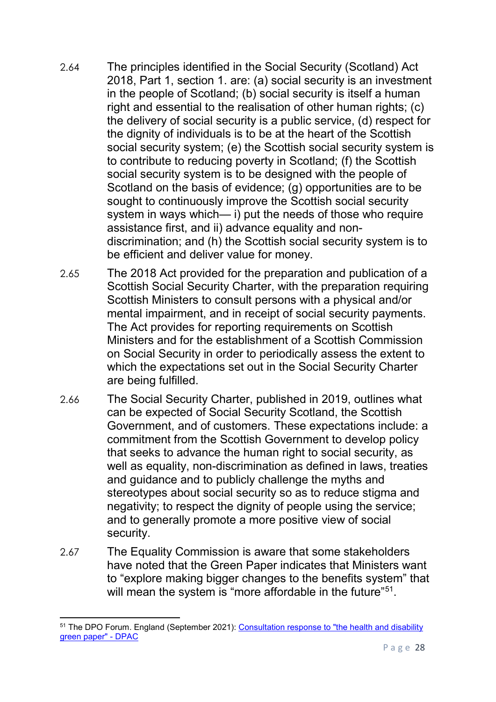- 2.64 The principles identified in the Social Security (Scotland) Act 2018, Part 1, section 1. are: (a) social security is an investment in the people of Scotland; (b) social security is itself a human right and essential to the realisation of other human rights; (c) the delivery of social security is a public service, (d) respect for the dignity of individuals is to be at the heart of the Scottish social security system; (e) the Scottish social security system is to contribute to reducing poverty in Scotland; (f) the Scottish social security system is to be designed with the people of Scotland on the basis of evidence; (g) opportunities are to be sought to continuously improve the Scottish social security system in ways which— i) put the needs of those who require assistance first, and ii) advance equality and nondiscrimination; and (h) the Scottish social security system is to be efficient and deliver value for money.
- 2.65 The 2018 Act provided for the preparation and publication of a Scottish Social Security Charter, with the preparation requiring Scottish Ministers to consult persons with a physical and/or mental impairment, and in receipt of social security payments. The Act provides for reporting requirements on Scottish Ministers and for the establishment of a Scottish Commission on Social Security in order to periodically assess the extent to which the expectations set out in the Social Security Charter are being fulfilled.
- 2.66 The Social Security Charter, published in 2019, outlines what can be expected of Social Security Scotland, the Scottish Government, and of customers. These expectations include: a commitment from the Scottish Government to develop policy that seeks to advance the human right to social security, as well as equality, non-discrimination as defined in laws, treaties and guidance and to publicly challenge the myths and stereotypes about social security so as to reduce stigma and negativity; to respect the dignity of people using the service; and to generally promote a more positive view of social security.
- 2.67 The Equality Commission is aware that some stakeholders have noted that the Green Paper indicates that Ministers want to "explore making bigger changes to the benefits system" that will mean the system is "more affordable in the future"<sup>[51](#page-27-0)</sup>.

<span id="page-27-0"></span>**<sup>.</sup>** <sup>51</sup> The DPO Forum. England (September 2021): [Consultation response to "the health and disability](https://dpac.uk.net/2021/09/the-dpo-forum-england-consultation-response-to-the-health-and-disability-green-paper/)  [green paper" -](https://dpac.uk.net/2021/09/the-dpo-forum-england-consultation-response-to-the-health-and-disability-green-paper/) DPAC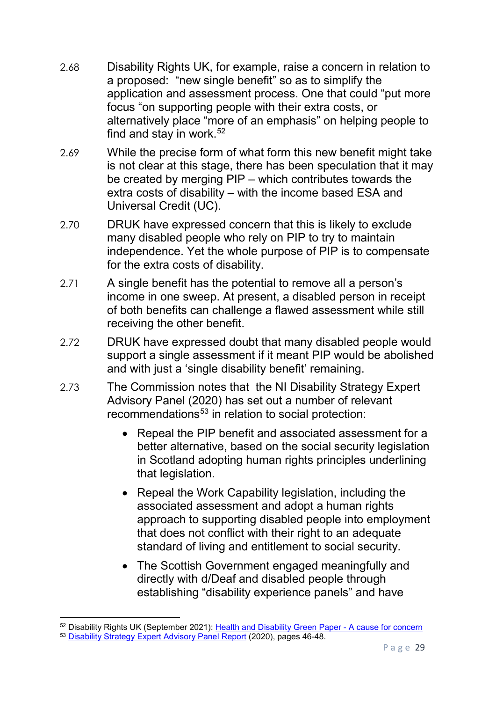- 2.68 Disability Rights UK, for example, raise a concern in relation to a proposed: "new single benefit" so as to simplify the application and assessment process. One that could "put more focus "on supporting people with their extra costs, or alternatively place "more of an emphasis" on helping people to find and stay in work. $52$
- 2.69 While the precise form of what form this new benefit might take is not clear at this stage, there has been speculation that it may be created by merging PIP – which contributes towards the extra costs of disability – with the income based ESA and Universal Credit (UC).
- 2.70 DRUK have expressed concern that this is likely to exclude many disabled people who rely on PIP to try to maintain independence. Yet the whole purpose of PIP is to compensate for the extra costs of disability.
- 2.71 A single benefit has the potential to remove all a person's income in one sweep. At present, a disabled person in receipt of both benefits can challenge a flawed assessment while still receiving the other benefit.
- 2.72 DRUK have expressed doubt that many disabled people would support a single assessment if it meant PIP would be abolished and with just a 'single disability benefit' remaining.
- 2.73 The Commission notes that the NI Disability Strategy Expert Advisory Panel (2020) has set out a number of relevant recommendations<sup>[53](#page-28-1)</sup> in relation to social protection:
	- Repeal the PIP benefit and associated assessment for a better alternative, based on the social security legislation in Scotland adopting human rights principles underlining that legislation.
	- Repeal the Work Capability legislation, including the associated assessment and adopt a human rights approach to supporting disabled people into employment that does not conflict with their right to an adequate standard of living and entitlement to social security.
	- The Scottish Government engaged meaningfully and directly with d/Deaf and disabled people through establishing "disability experience panels" and have

**.** 

<span id="page-28-1"></span><span id="page-28-0"></span><sup>52</sup> Disability Rights UK (September 2021): [Health and Disability Green Paper -](https://www.disabilityrightsuk.org/news/2021/september/health-and-disability-green-paper-%E2%80%93-cause-concern) A cause for concern <sup>53</sup> [Disability Strategy Expert Advisory Panel Report](https://www.communities-ni.gov.uk/system/files/publications/communities/dfc-social-inclusion-strategy-disability-expert-advisory-panel-report.pdf) (2020), pages 46-48.